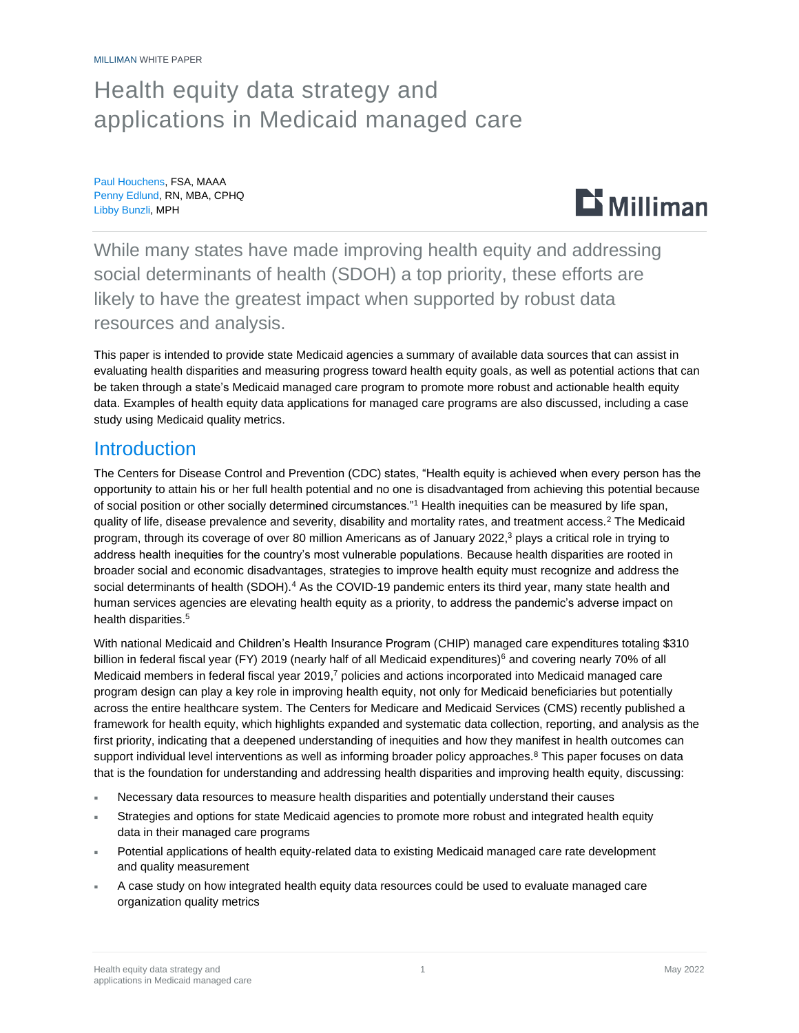# Health equity data strategy and applications in Medicaid managed care

Paul Houchens, FSA, MAAA Penny Edlund, RN, MBA, CPHQ Libby Bunzli, MPH



While many states have made improving health equity and addressing social determinants of health (SDOH) a top priority, these efforts are likely to have the greatest impact when supported by robust data resources and analysis.

This paper is intended to provide state Medicaid agencies a summary of available data sources that can assist in evaluating health disparities and measuring progress toward health equity goals, as well as potential actions that can be taken through a state's Medicaid managed care program to promote more robust and actionable health equity data. Examples of health equity data applications for managed care programs are also discussed, including a case study using Medicaid quality metrics.

# **Introduction**

The Centers for Disease Control and Prevention (CDC) states, "Health equity is achieved when every person has the opportunity to attain his or her full health potential and no one is disadvantaged from achieving this potential because of social position or other socially determined circumstances."<sup>1</sup> Health inequities can be measured by life span, quality of life, disease prevalence and severity, disability and mortality rates, and treatment access.<sup>2</sup> The Medicaid program, through its coverage of over 80 million Americans as of January 2022, <sup>3</sup> plays a critical role in trying to address health inequities for the country's most vulnerable populations. Because health disparities are rooted in broader social and economic disadvantages, strategies to improve health equity must recognize and address the social determinants of health (SDOH).<sup>4</sup> As the COVID-19 pandemic enters its third year, many state health and human services agencies are elevating health equity as a priority, to address the pandemic's adverse impact on health disparities.<sup>5</sup>

With national Medicaid and Children's Health Insurance Program (CHIP) managed care expenditures totaling \$310 billion in federal fiscal year (FY) 2019 (nearly half of all Medicaid expenditures)<sup>6</sup> and covering nearly 70% of all Medicaid members in federal fiscal year 2019,<sup>7</sup> policies and actions incorporated into Medicaid managed care program design can play a key role in improving health equity, not only for Medicaid beneficiaries but potentially across the entire healthcare system. The Centers for Medicare and Medicaid Services (CMS) recently published a framework for health equity, which highlights expanded and systematic data collection, reporting, and analysis as the first priority, indicating that a deepened understanding of inequities and how they manifest in health outcomes can support individual level interventions as well as informing broader policy approaches.<sup>8</sup> This paper focuses on data that is the foundation for understanding and addressing health disparities and improving health equity, discussing:

- Necessary data resources to measure health disparities and potentially understand their causes
- Strategies and options for state Medicaid agencies to promote more robust and integrated health equity data in their managed care programs
- Potential applications of health equity-related data to existing Medicaid managed care rate development and quality measurement
- A case study on how integrated health equity data resources could be used to evaluate managed care organization quality metrics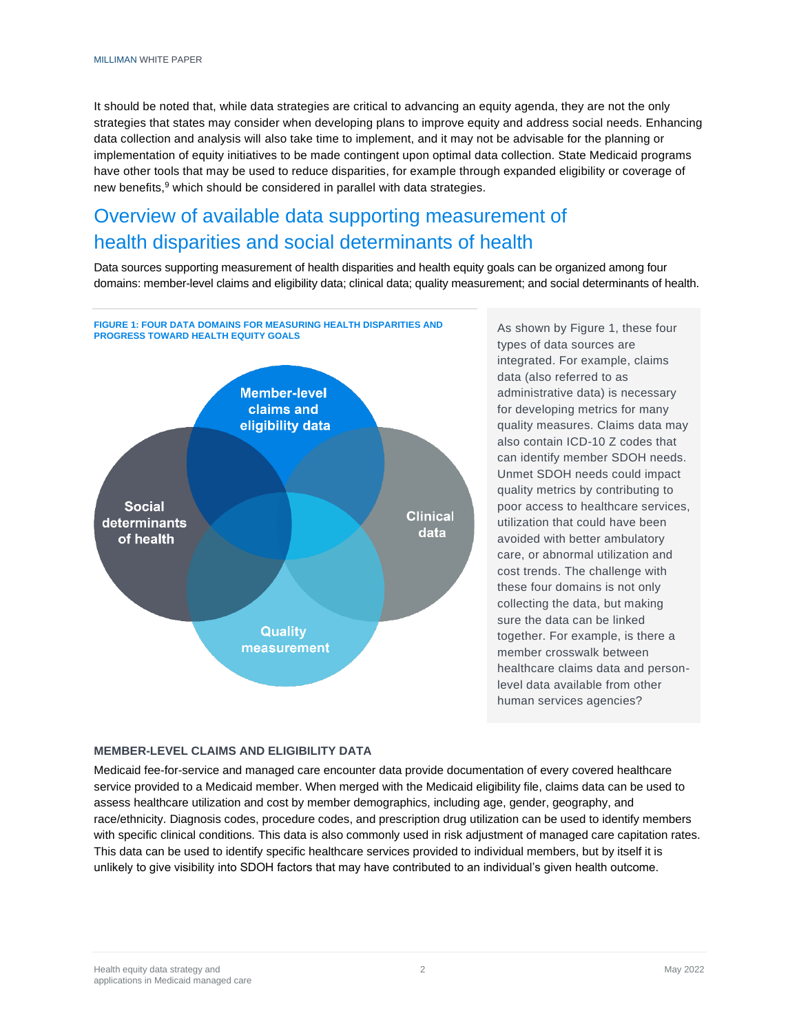It should be noted that, while data strategies are critical to advancing an equity agenda, they are not the only strategies that states may consider when developing plans to improve equity and address social needs. Enhancing data collection and analysis will also take time to implement, and it may not be advisable for the planning or implementation of equity initiatives to be made contingent upon optimal data collection. State Medicaid programs have other tools that may be used to reduce disparities, for example through expanded eligibility or coverage of new benefits,<sup>9</sup> which should be considered in parallel with data strategies.

# Overview of available data supporting measurement of health disparities and social determinants of health

Data sources supporting measurement of health disparities and health equity goals can be organized among four domains: member-level claims and eligibility data; clinical data; quality measurement; and social determinants of health.



As shown by Figure 1, these four types of data sources are integrated. For example, claims data (also referred to as administrative data) is necessary for developing metrics for many quality measures. Claims data may also contain ICD-10 Z codes that can identify member SDOH needs. Unmet SDOH needs could impact quality metrics by contributing to poor access to healthcare services, utilization that could have been avoided with better ambulatory care, or abnormal utilization and cost trends. The challenge with these four domains is not only collecting the data, but making sure the data can be linked together. For example, is there a member crosswalk between healthcare claims data and personlevel data available from other human services agencies?

#### **MEMBER-LEVEL CLAIMS AND ELIGIBILITY DATA**

Medicaid fee-for-service and managed care encounter data provide documentation of every covered healthcare service provided to a Medicaid member. When merged with the Medicaid eligibility file, claims data can be used to assess healthcare utilization and cost by member demographics, including age, gender, geography, and race/ethnicity. Diagnosis codes, procedure codes, and prescription drug utilization can be used to identify members with specific clinical conditions. This data is also commonly used in risk adjustment of managed care capitation rates. This data can be used to identify specific healthcare services provided to individual members, but by itself it is unlikely to give visibility into SDOH factors that may have contributed to an individual's given health outcome.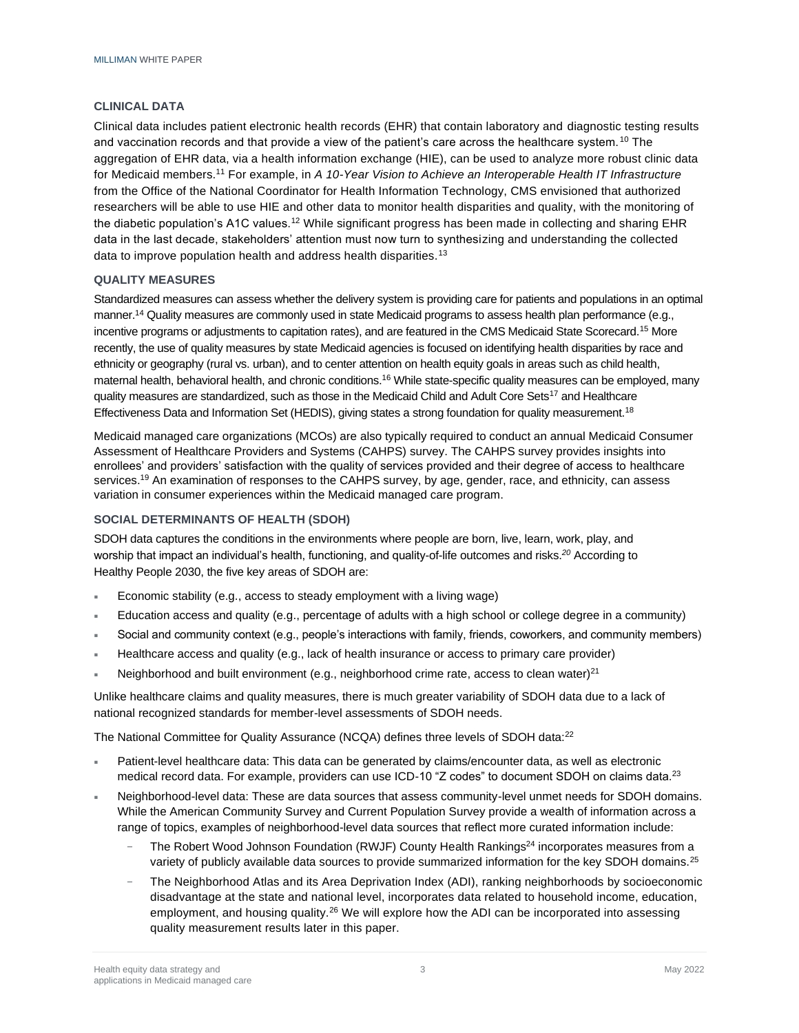# **CLINICAL DATA**

Clinical data includes patient electronic health records (EHR) that contain laboratory and diagnostic testing results and vaccination records and that provide a view of the patient's care across the healthcare system. <sup>10</sup> The aggregation of EHR data, via a health information exchange (HIE), can be used to analyze more robust clinic data for Medicaid members.<sup>11</sup> For example, in *A 10-Year Vision to Achieve an Interoperable Health IT Infrastructure* from the Office of the National Coordinator for Health Information Technology, CMS envisioned that authorized researchers will be able to use HIE and other data to monitor health disparities and quality, with the monitoring of the diabetic population's A1C values.<sup>12</sup> While significant progress has been made in collecting and sharing EHR data in the last decade, stakeholders' attention must now turn to synthesizing and understanding the collected data to improve population health and address health disparities.<sup>13</sup>

### **QUALITY MEASURES**

Standardized measures can assess whether the delivery system is providing care for patients and populations in an optimal manner.<sup>14</sup> Quality measures are commonly used in state Medicaid programs to assess health plan performance (e.g., incentive programs or adjustments to capitation rates), and are featured in the CMS Medicaid State Scorecard.<sup>15</sup> More recently, the use of quality measures by state Medicaid agencies is focused on identifying health disparities by race and ethnicity or geography (rural vs. urban), and to center attention on health equity goals in areas such as child health, maternal health, behavioral health, and chronic conditions.<sup>16</sup> While state-specific quality measures can be employed, many quality measures are standardized, such as those in the Medicaid Child and Adult Core Sets<sup>17</sup> and Healthcare Effectiveness Data and Information Set (HEDIS), giving states a strong foundation for quality measurement.<sup>18</sup>

Medicaid managed care organizations (MCOs) are also typically required to conduct an annual Medicaid Consumer Assessment of Healthcare Providers and Systems (CAHPS) survey. The CAHPS survey provides insights into enrollees' and providers' satisfaction with the quality of services provided and their degree of access to healthcare services.<sup>19</sup> An examination of responses to the CAHPS survey, by age, gender, race, and ethnicity, can assess variation in consumer experiences within the Medicaid managed care program.

#### **SOCIAL DETERMINANTS OF HEALTH (SDOH)**

SDOH data captures the conditions in the environments where people are born, live, learn, work, play, and worship that impact an individual's health, functioning, and quality-of-life outcomes and risks.*<sup>20</sup>* According to Healthy People 2030, the five key areas of SDOH are:

- Economic stability (e.g., access to steady employment with a living wage)
- Education access and quality (e.g., percentage of adults with a high school or college degree in a community)
- Social and community context (e.g., people's interactions with family, friends, coworkers, and community members)
- Healthcare access and quality (e.g., lack of health insurance or access to primary care provider)
- Neighborhood and built environment (e.g., neighborhood crime rate, access to clean water) $^{21}$

Unlike healthcare claims and quality measures, there is much greater variability of SDOH data due to a lack of national recognized standards for member-level assessments of SDOH needs.

The National Committee for Quality Assurance (NCQA) defines three levels of SDOH data:<sup>22</sup>

- Patient-level healthcare data: This data can be generated by claims/encounter data, as well as electronic medical record data. For example, providers can use ICD-10 "Z codes" to document SDOH on claims data.<sup>23</sup>
- Neighborhood-level data: These are data sources that assess community-level unmet needs for SDOH domains. While the American Community Survey and Current Population Survey provide a wealth of information across a range of topics, examples of neighborhood-level data sources that reflect more curated information include:
	- The Robert Wood Johnson Foundation (RWJF) County Health Rankings<sup>24</sup> incorporates measures from a variety of publicly available data sources to provide summarized information for the key SDOH domains.<sup>25</sup>
	- − The Neighborhood Atlas and its Area Deprivation Index (ADI), ranking neighborhoods by socioeconomic disadvantage at the state and national level, incorporates data related to household income, education, employment, and housing quality.<sup>26</sup> We will explore how the ADI can be incorporated into assessing quality measurement results later in this paper.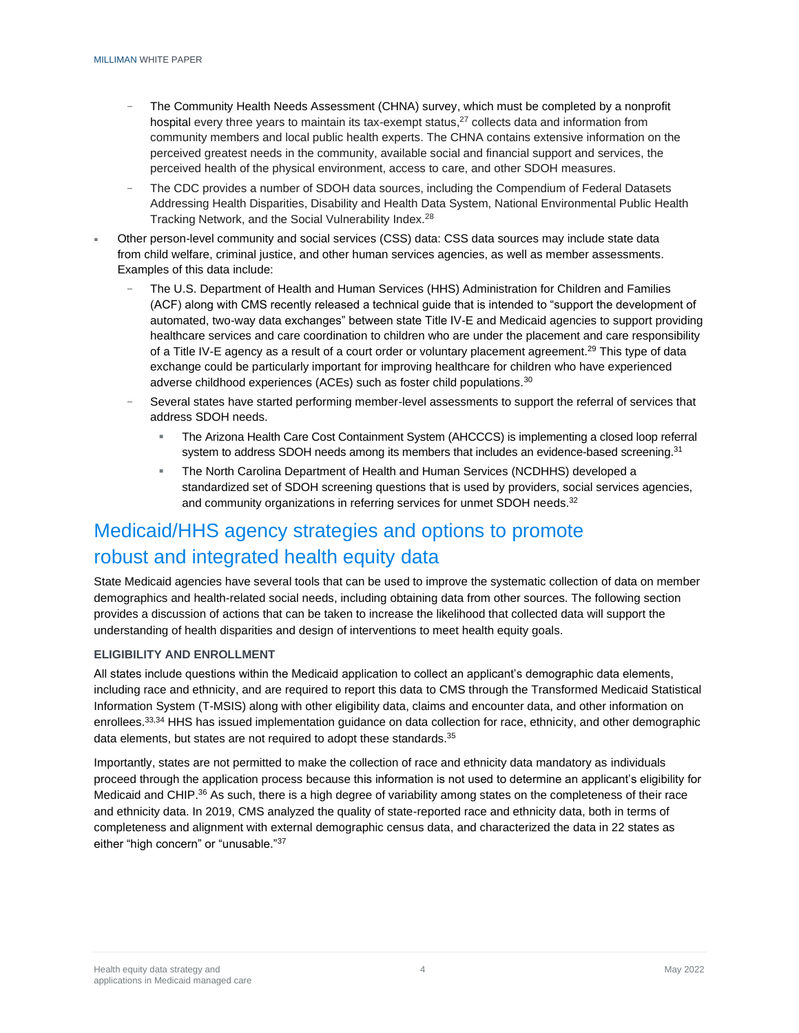- The Community Health Needs Assessment (CHNA) survey, which must be completed by a nonprofit hospital every three years to maintain its tax-exempt status,<sup>27</sup> collects data and information from community members and local public health experts. The CHNA contains extensive information on the perceived greatest needs in the community, available social and financial support and services, the perceived health of the physical environment, access to care, and other SDOH measures.
- The CDC provides a number of SDOH data sources, including the Compendium of Federal Datasets Addressing Health Disparities, Disability and Health Data System, National Environmental Public Health Tracking Network, and the Social Vulnerability Index.<sup>28</sup>
- Other person-level community and social services (CSS) data: CSS data sources may include state data from child welfare, criminal justice, and other human services agencies, as well as member assessments. Examples of this data include:
	- − The U.S. Department of Health and Human Services (HHS) Administration for Children and Families (ACF) along with CMS recently released a technical guide that is intended to "support the development of automated, two-way data exchanges" between state Title IV-E and Medicaid agencies to support providing healthcare services and care coordination to children who are under the placement and care responsibility of a Title IV-E agency as a result of a court order or voluntary placement agreement.<sup>29</sup> This type of data exchange could be particularly important for improving healthcare for children who have experienced adverse childhood experiences (ACEs) such as foster child populations.<sup>30</sup>
	- Several states have started performing member-level assessments to support the referral of services that address SDOH needs.
		- The Arizona Health Care Cost Containment System (AHCCCS) is implementing a closed loop referral system to address SDOH needs among its members that includes an evidence-based screening.<sup>31</sup>
		- The North Carolina Department of Health and Human Services (NCDHHS) developed a standardized set of SDOH screening questions that is used by providers, social services agencies, and community organizations in referring services for unmet SDOH needs.<sup>32</sup>

# Medicaid/HHS agency strategies and options to promote robust and integrated health equity data

State Medicaid agencies have several tools that can be used to improve the systematic collection of data on member demographics and health-related social needs, including obtaining data from other sources. The following section provides a discussion of actions that can be taken to increase the likelihood that collected data will support the understanding of health disparities and design of interventions to meet health equity goals.

#### **ELIGIBILITY AND ENROLLMENT**

All states include questions within the Medicaid application to collect an applicant's demographic data elements, including race and ethnicity, and are required to report this data to CMS through the Transformed Medicaid Statistical Information System (T-MSIS) along with other eligibility data, claims and encounter data, and other information on enrollees.<sup>33,34</sup> HHS has issued implementation guidance on data collection for race, ethnicity, and other demographic data elements, but states are not required to adopt these standards.<sup>35</sup>

Importantly, states are not permitted to make the collection of race and ethnicity data mandatory as individuals proceed through the application process because this information is not used to determine an applicant's eligibility for Medicaid and CHIP.<sup>36</sup> As such, there is a high degree of variability among states on the completeness of their race and ethnicity data. In 2019, CMS analyzed the quality of state-reported race and ethnicity data, both in terms of completeness and alignment with external demographic census data, and characterized the data in 22 states as either "high concern" or "unusable."37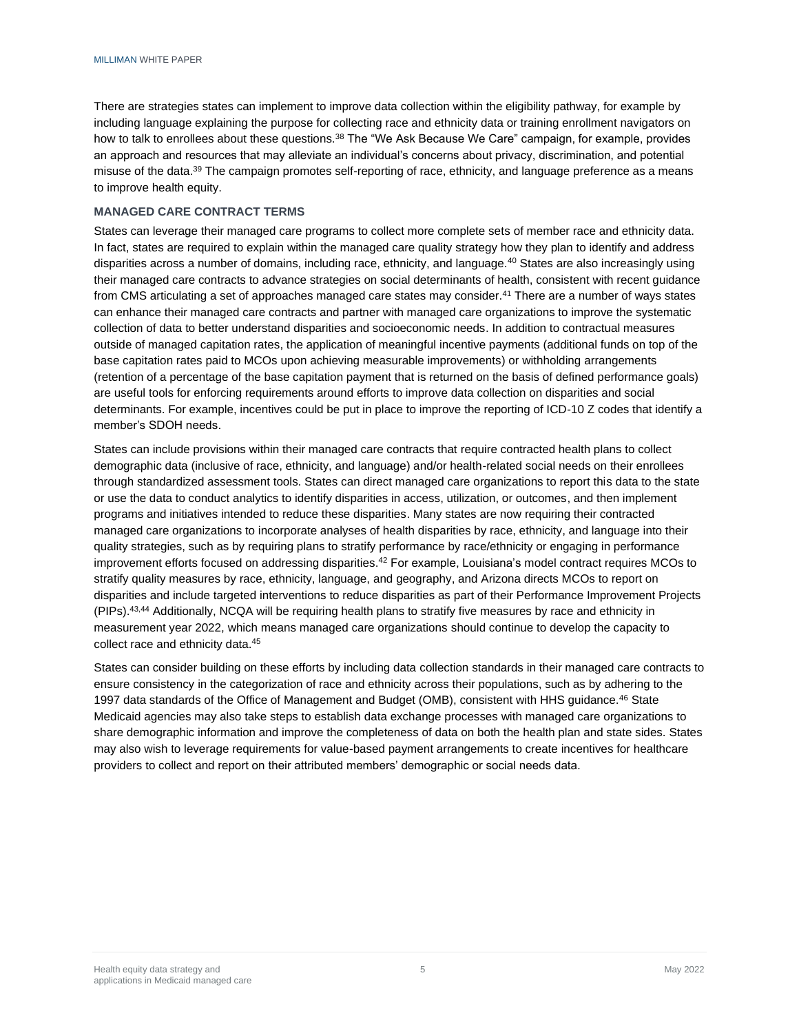There are strategies states can implement to improve data collection within the eligibility pathway, for example by including language explaining the purpose for collecting race and ethnicity data or training enrollment navigators on how to talk to enrollees about these questions.<sup>38</sup> The "We Ask Because We Care" campaign, for example, provides an approach and resources that may alleviate an individual's concerns about privacy, discrimination, and potential misuse of the data.<sup>39</sup> The campaign promotes self-reporting of race, ethnicity, and language preference as a means to improve health equity.

#### **MANAGED CARE CONTRACT TERMS**

States can leverage their managed care programs to collect more complete sets of member race and ethnicity data. In fact, states are required to explain within the managed care quality strategy how they plan to identify and address disparities across a number of domains, including race, ethnicity, and language.<sup>40</sup> States are also increasingly using their managed care contracts to advance strategies on social determinants of health, consistent with recent guidance from CMS articulating a set of approaches managed care states may consider.<sup>41</sup> There are a number of ways states can enhance their managed care contracts and partner with managed care organizations to improve the systematic collection of data to better understand disparities and socioeconomic needs. In addition to contractual measures outside of managed capitation rates, the application of meaningful incentive payments (additional funds on top of the base capitation rates paid to MCOs upon achieving measurable improvements) or withholding arrangements (retention of a percentage of the base capitation payment that is returned on the basis of defined performance goals) are useful tools for enforcing requirements around efforts to improve data collection on disparities and social determinants. For example, incentives could be put in place to improve the reporting of ICD-10 Z codes that identify a member's SDOH needs.

States can include provisions within their managed care contracts that require contracted health plans to collect demographic data (inclusive of race, ethnicity, and language) and/or health-related social needs on their enrollees through standardized assessment tools. States can direct managed care organizations to report this data to the state or use the data to conduct analytics to identify disparities in access, utilization, or outcomes, and then implement programs and initiatives intended to reduce these disparities. Many states are now requiring their contracted managed care organizations to incorporate analyses of health disparities by race, ethnicity, and language into their quality strategies, such as by requiring plans to stratify performance by race/ethnicity or engaging in performance improvement efforts focused on addressing disparities.<sup>42</sup> For example, Louisiana's model contract requires MCOs to stratify quality measures by race, ethnicity, language, and geography, and Arizona directs MCOs to report on disparities and include targeted interventions to reduce disparities as part of their Performance Improvement Projects (PIPs).<sup>43,44</sup> Additionally, NCQA will be requiring health plans to stratify five measures by race and ethnicity in measurement year 2022, which means managed care organizations should continue to develop the capacity to collect race and ethnicity data.<sup>45</sup>

States can consider building on these efforts by including data collection standards in their managed care contracts to ensure consistency in the categorization of race and ethnicity across their populations, such as by adhering to the 1997 data standards of the Office of Management and Budget (OMB), consistent with HHS guidance.<sup>46</sup> State Medicaid agencies may also take steps to establish data exchange processes with managed care organizations to share demographic information and improve the completeness of data on both the health plan and state sides. States may also wish to leverage requirements for value-based payment arrangements to create incentives for healthcare providers to collect and report on their attributed members' demographic or social needs data.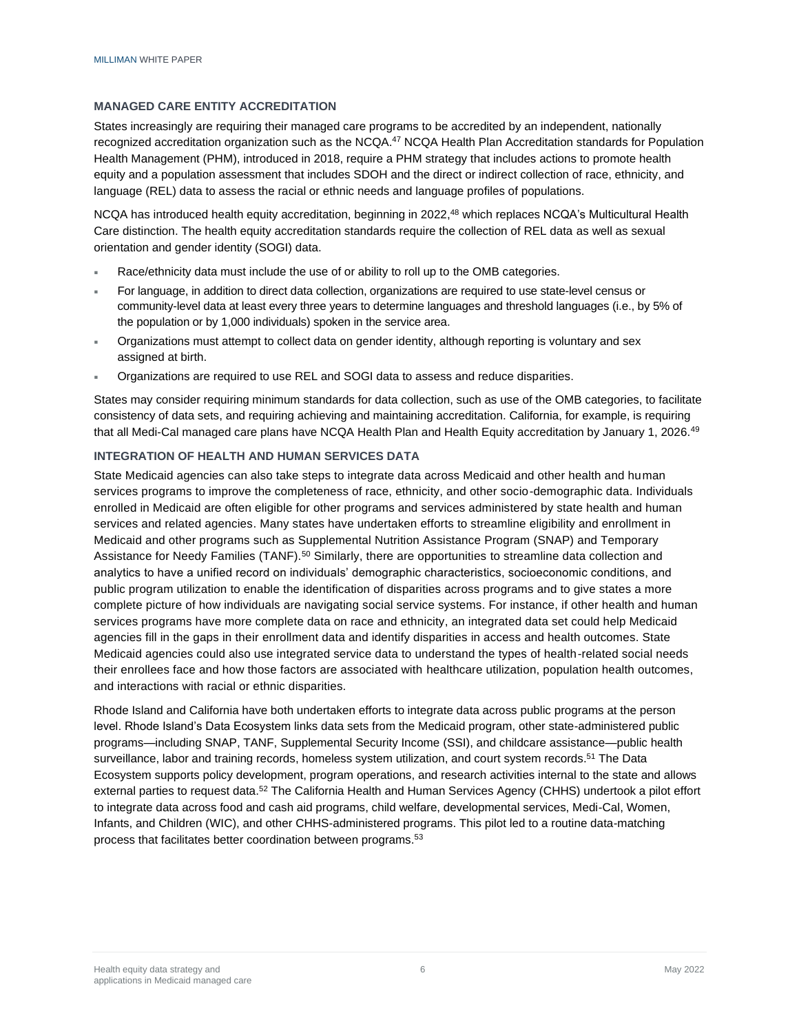## **MANAGED CARE ENTITY ACCREDITATION**

States increasingly are requiring their managed care programs to be accredited by an independent, nationally recognized accreditation organization such as the NCQA.<sup>47</sup> NCQA Health Plan Accreditation standards for Population Health Management (PHM), introduced in 2018, require a PHM strategy that includes actions to promote health equity and a population assessment that includes SDOH and the direct or indirect collection of race, ethnicity, and language (REL) data to assess the racial or ethnic needs and language profiles of populations.

NCQA has introduced health equity accreditation, beginning in 2022,<sup>48</sup> which replaces NCQA's Multicultural Health Care distinction. The health equity accreditation standards require the collection of REL data as well as sexual orientation and gender identity (SOGI) data.

- Race/ethnicity data must include the use of or ability to roll up to the OMB categories.
- For language, in addition to direct data collection, organizations are required to use state-level census or community-level data at least every three years to determine languages and threshold languages (i.e., by 5% of the population or by 1,000 individuals) spoken in the service area.
- Organizations must attempt to collect data on gender identity, although reporting is voluntary and sex assigned at birth.
- Organizations are required to use REL and SOGI data to assess and reduce disparities.

States may consider requiring minimum standards for data collection, such as use of the OMB categories, to facilitate consistency of data sets, and requiring achieving and maintaining accreditation. California, for example, is requiring that all Medi-Cal managed care plans have NCQA Health Plan and Health Equity accreditation by January 1, 2026.<sup>49</sup>

# **INTEGRATION OF HEALTH AND HUMAN SERVICES DATA**

State Medicaid agencies can also take steps to integrate data across Medicaid and other health and human services programs to improve the completeness of race, ethnicity, and other socio-demographic data. Individuals enrolled in Medicaid are often eligible for other programs and services administered by state health and human services and related agencies. Many states have undertaken efforts to streamline eligibility and enrollment in Medicaid and other programs such as Supplemental Nutrition Assistance Program (SNAP) and Temporary Assistance for Needy Families (TANF).<sup>50</sup> Similarly, there are opportunities to streamline data collection and analytics to have a unified record on individuals' demographic characteristics, socioeconomic conditions, and public program utilization to enable the identification of disparities across programs and to give states a more complete picture of how individuals are navigating social service systems. For instance, if other health and human services programs have more complete data on race and ethnicity, an integrated data set could help Medicaid agencies fill in the gaps in their enrollment data and identify disparities in access and health outcomes. State Medicaid agencies could also use integrated service data to understand the types of health-related social needs their enrollees face and how those factors are associated with healthcare utilization, population health outcomes, and interactions with racial or ethnic disparities.

Rhode Island and California have both undertaken efforts to integrate data across public programs at the person level. Rhode Island's Data Ecosystem links data sets from the Medicaid program, other state-administered public programs—including SNAP, TANF, Supplemental Security Income (SSI), and childcare assistance—public health surveillance, labor and training records, homeless system utilization, and court system records.<sup>51</sup> The Data Ecosystem supports policy development, program operations, and research activities internal to the state and allows external parties to request data.<sup>52</sup> The California Health and Human Services Agency (CHHS) undertook a pilot effort to integrate data across food and cash aid programs, child welfare, developmental services, Medi-Cal, Women, Infants, and Children (WIC), and other CHHS-administered programs. This pilot led to a routine data-matching process that facilitates better coordination between programs. 53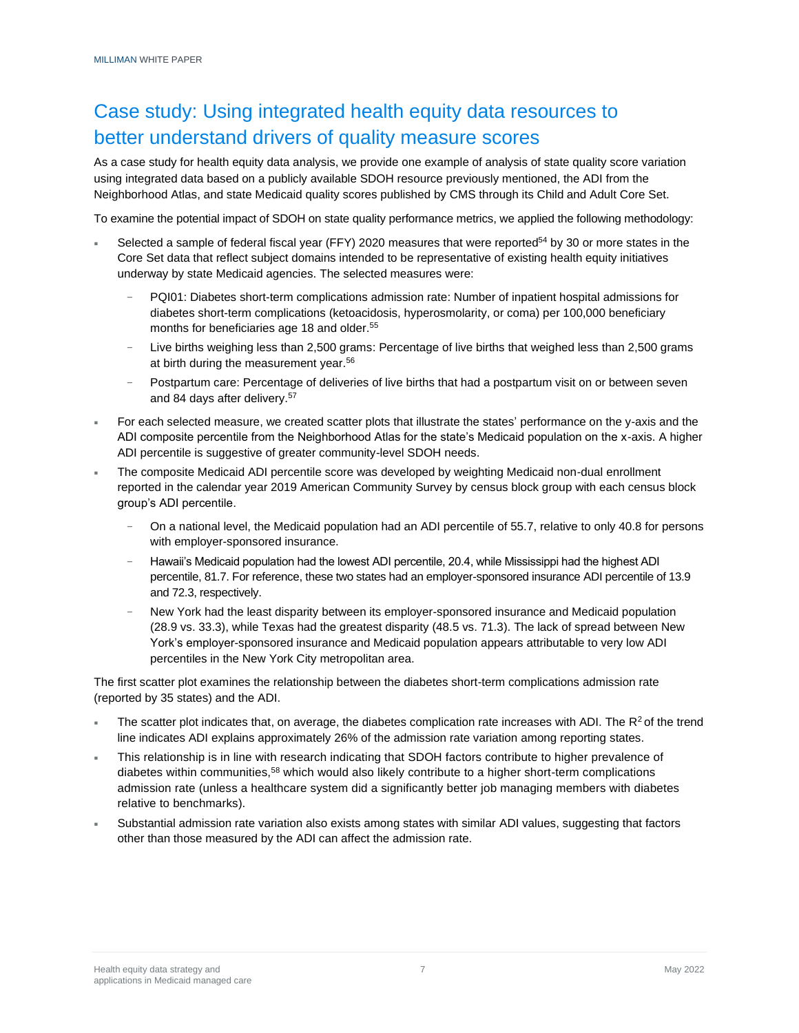# Case study: Using integrated health equity data resources to better understand drivers of quality measure scores

As a case study for health equity data analysis, we provide one example of analysis of state quality score variation using integrated data based on a publicly available SDOH resource previously mentioned, the ADI from the Neighborhood Atlas, and state Medicaid quality scores published by CMS through its Child and Adult Core Set.

To examine the potential impact of SDOH on state quality performance metrics, we applied the following methodology:

- Selected a sample of federal fiscal year (FFY) 2020 measures that were reported<sup>54</sup> by 30 or more states in the Core Set data that reflect subject domains intended to be representative of existing health equity initiatives underway by state Medicaid agencies. The selected measures were:
	- − PQI01: Diabetes short-term complications admission rate: Number of inpatient hospital admissions for diabetes short-term complications (ketoacidosis, hyperosmolarity, or coma) per 100,000 beneficiary months for beneficiaries age 18 and older.<sup>55</sup>
	- Live births weighing less than 2,500 grams: Percentage of live births that weighed less than 2,500 grams at birth during the measurement year.<sup>56</sup>
	- − Postpartum care: Percentage of deliveries of live births that had a postpartum visit on or between seven and 84 days after delivery.<sup>57</sup>
- For each selected measure, we created scatter plots that illustrate the states' performance on the y-axis and the ADI composite percentile from the Neighborhood Atlas for the state's Medicaid population on the x-axis. A higher ADI percentile is suggestive of greater community-level SDOH needs.
- The composite Medicaid ADI percentile score was developed by weighting Medicaid non-dual enrollment reported in the calendar year 2019 American Community Survey by census block group with each census block group's ADI percentile.
	- On a national level, the Medicaid population had an ADI percentile of 55.7, relative to only 40.8 for persons with employer-sponsored insurance.
	- − Hawaii's Medicaid population had the lowest ADI percentile, 20.4, while Mississippi had the highest ADI percentile, 81.7. For reference, these two states had an employer-sponsored insurance ADI percentile of 13.9 and 72.3, respectively.
	- New York had the least disparity between its employer-sponsored insurance and Medicaid population (28.9 vs. 33.3), while Texas had the greatest disparity (48.5 vs. 71.3). The lack of spread between New York's employer-sponsored insurance and Medicaid population appears attributable to very low ADI percentiles in the New York City metropolitan area.

The first scatter plot examines the relationship between the diabetes short-term complications admission rate (reported by 35 states) and the ADI.

- The scatter plot indicates that, on average, the diabetes complication rate increases with ADI. The  $R^2$  of the trend line indicates ADI explains approximately 26% of the admission rate variation among reporting states.
- This relationship is in line with research indicating that SDOH factors contribute to higher prevalence of diabetes within communities,<sup>58</sup> which would also likely contribute to a higher short-term complications admission rate (unless a healthcare system did a significantly better job managing members with diabetes relative to benchmarks).
- Substantial admission rate variation also exists among states with similar ADI values, suggesting that factors other than those measured by the ADI can affect the admission rate.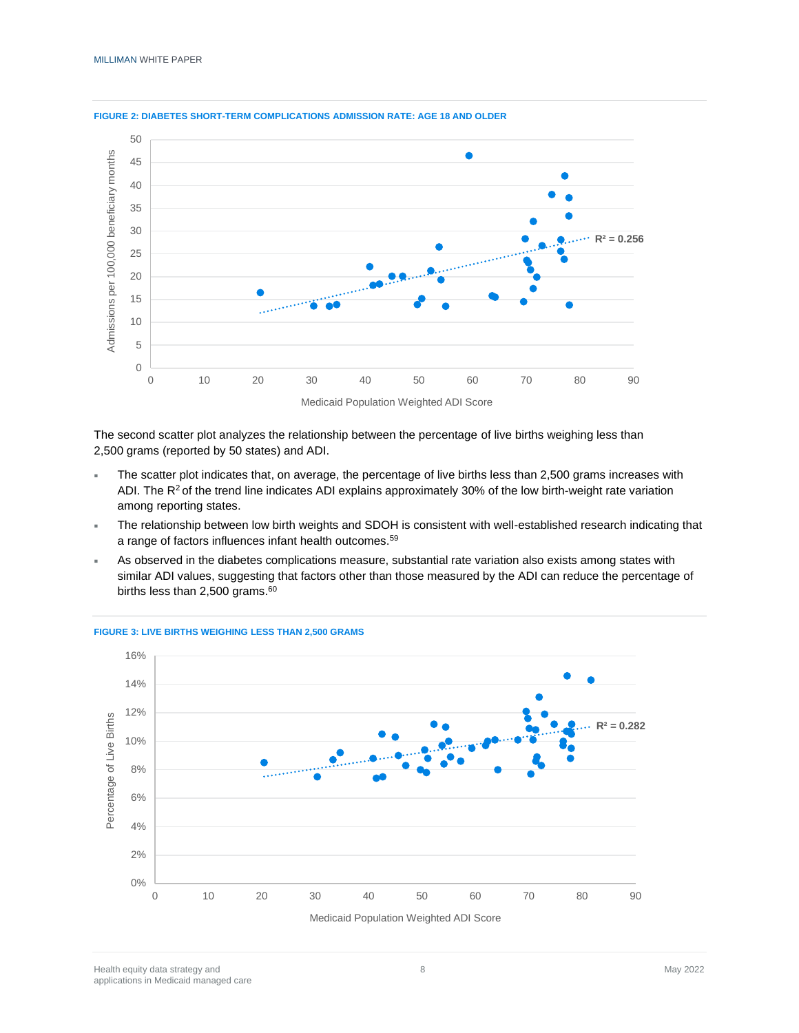

#### **FIGURE 2: DIABETES SHORT-TERM COMPLICATIONS ADMISSION RATE: AGE 18 AND OLDER**

The second scatter plot analyzes the relationship between the percentage of live births weighing less than 2,500 grams (reported by 50 states) and ADI.

- The scatter plot indicates that, on average, the percentage of live births less than 2,500 grams increases with ADI. The  $R^2$  of the trend line indicates ADI explains approximately 30% of the low birth-weight rate variation among reporting states.
- The relationship between low birth weights and SDOH is consistent with well-established research indicating that a range of factors influences infant health outcomes.<sup>59</sup>
- As observed in the diabetes complications measure, substantial rate variation also exists among states with similar ADI values, suggesting that factors other than those measured by the ADI can reduce the percentage of births less than  $2,500$  grams.<sup>60</sup>



## **FIGURE 3: LIVE BIRTHS WEIGHING LESS THAN 2,500 GRAMS**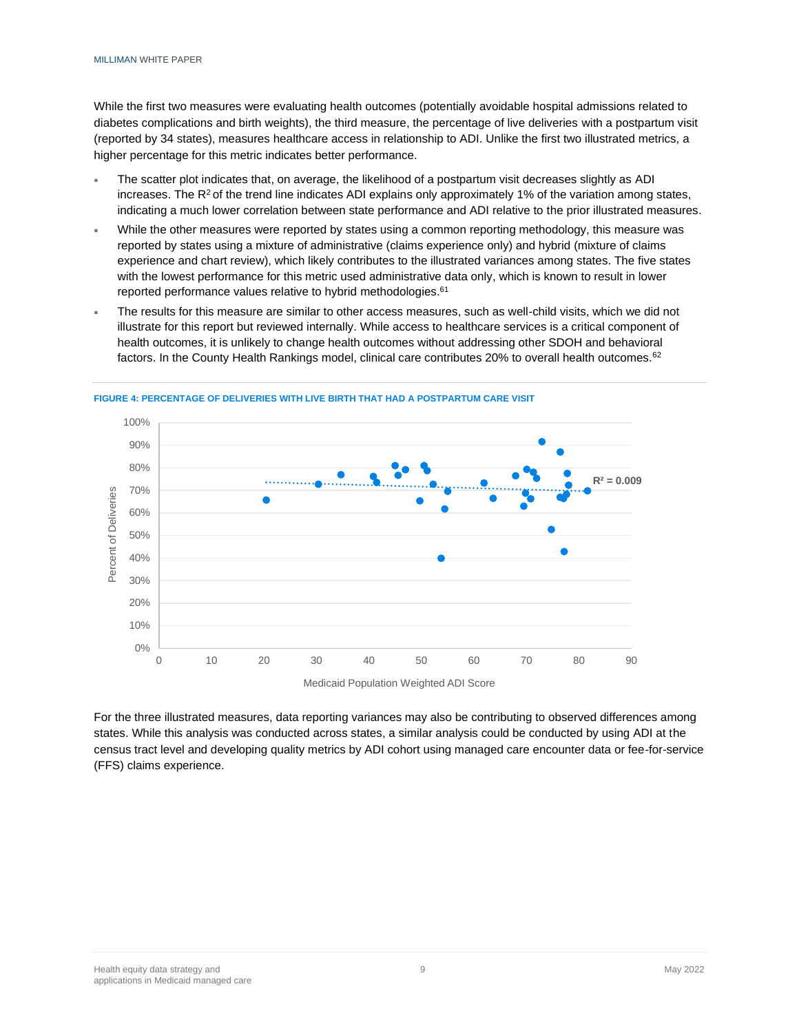While the first two measures were evaluating health outcomes (potentially avoidable hospital admissions related to diabetes complications and birth weights), the third measure, the percentage of live deliveries with a postpartum visit (reported by 34 states), measures healthcare access in relationship to ADI. Unlike the first two illustrated metrics, a higher percentage for this metric indicates better performance.

- The scatter plot indicates that, on average, the likelihood of a postpartum visit decreases slightly as ADI increases. The  $R^2$  of the trend line indicates ADI explains only approximately 1% of the variation among states, indicating a much lower correlation between state performance and ADI relative to the prior illustrated measures.
- While the other measures were reported by states using a common reporting methodology, this measure was reported by states using a mixture of administrative (claims experience only) and hybrid (mixture of claims experience and chart review), which likely contributes to the illustrated variances among states. The five states with the lowest performance for this metric used administrative data only, which is known to result in lower reported performance values relative to hybrid methodologies.<sup>61</sup>
- The results for this measure are similar to other access measures, such as well-child visits, which we did not illustrate for this report but reviewed internally. While access to healthcare services is a critical component of health outcomes, it is unlikely to change health outcomes without addressing other SDOH and behavioral factors. In the County Health Rankings model, clinical care contributes 20% to overall health outcomes.<sup>62</sup>



**FIGURE 4: PERCENTAGE OF DELIVERIES WITH LIVE BIRTH THAT HAD A POSTPARTUM CARE VISIT**

For the three illustrated measures, data reporting variances may also be contributing to observed differences among states. While this analysis was conducted across states, a similar analysis could be conducted by using ADI at the census tract level and developing quality metrics by ADI cohort using managed care encounter data or fee-for-service (FFS) claims experience.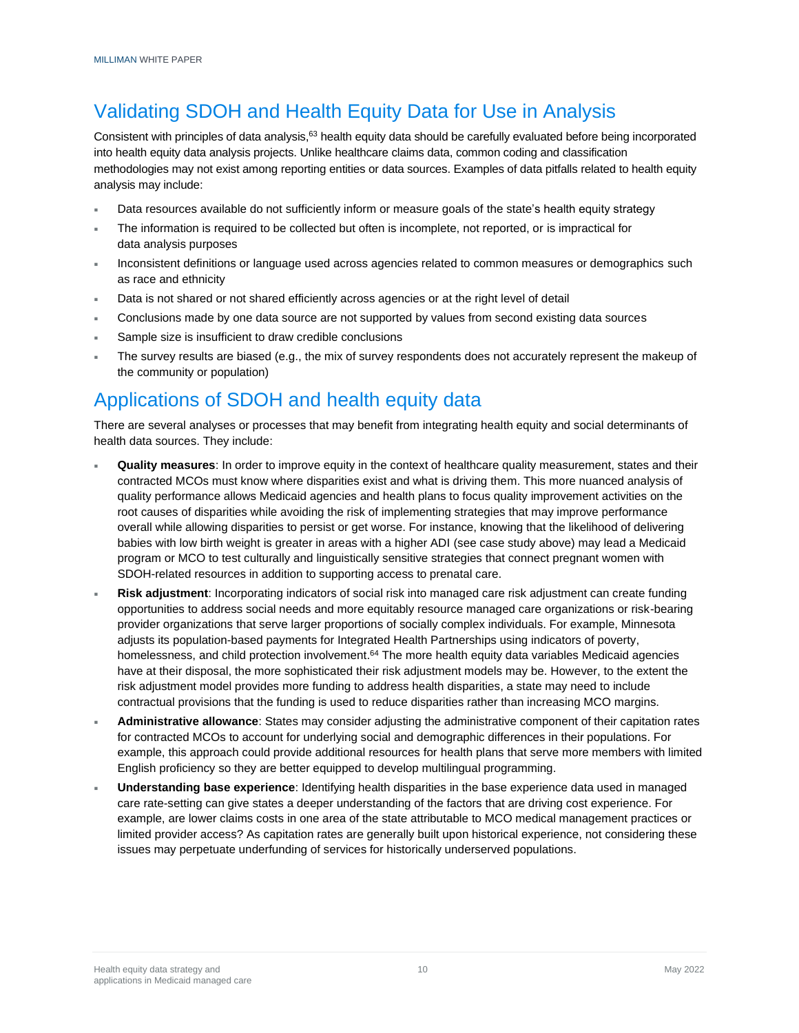# Validating SDOH and Health Equity Data for Use in Analysis

Consistent with principles of data analysis,<sup>63</sup> health equity data should be carefully evaluated before being incorporated into health equity data analysis projects. Unlike healthcare claims data, common coding and classification methodologies may not exist among reporting entities or data sources. Examples of data pitfalls related to health equity analysis may include:

- Data resources available do not sufficiently inform or measure goals of the state's health equity strategy
- The information is required to be collected but often is incomplete, not reported, or is impractical for data analysis purposes
- Inconsistent definitions or language used across agencies related to common measures or demographics such as race and ethnicity
- Data is not shared or not shared efficiently across agencies or at the right level of detail
- Conclusions made by one data source are not supported by values from second existing data sources
- Sample size is insufficient to draw credible conclusions
- The survey results are biased (e.g., the mix of survey respondents does not accurately represent the makeup of the community or population)

# Applications of SDOH and health equity data

There are several analyses or processes that may benefit from integrating health equity and social determinants of health data sources. They include:

- **Quality measures**: In order to improve equity in the context of healthcare quality measurement, states and their contracted MCOs must know where disparities exist and what is driving them. This more nuanced analysis of quality performance allows Medicaid agencies and health plans to focus quality improvement activities on the root causes of disparities while avoiding the risk of implementing strategies that may improve performance overall while allowing disparities to persist or get worse. For instance, knowing that the likelihood of delivering babies with low birth weight is greater in areas with a higher ADI (see case study above) may lead a Medicaid program or MCO to test culturally and linguistically sensitive strategies that connect pregnant women with SDOH-related resources in addition to supporting access to prenatal care.
- **Risk adjustment**: Incorporating indicators of social risk into managed care risk adjustment can create funding opportunities to address social needs and more equitably resource managed care organizations or risk-bearing provider organizations that serve larger proportions of socially complex individuals. For example, Minnesota adjusts its population-based payments for Integrated Health Partnerships using indicators of poverty, homelessness, and child protection involvement.<sup>64</sup> The more health equity data variables Medicaid agencies have at their disposal, the more sophisticated their risk adjustment models may be. However, to the extent the risk adjustment model provides more funding to address health disparities, a state may need to include contractual provisions that the funding is used to reduce disparities rather than increasing MCO margins.
- **Administrative allowance**: States may consider adjusting the administrative component of their capitation rates for contracted MCOs to account for underlying social and demographic differences in their populations. For example, this approach could provide additional resources for health plans that serve more members with limited English proficiency so they are better equipped to develop multilingual programming.
- **Understanding base experience**: Identifying health disparities in the base experience data used in managed care rate-setting can give states a deeper understanding of the factors that are driving cost experience. For example, are lower claims costs in one area of the state attributable to MCO medical management practices or limited provider access? As capitation rates are generally built upon historical experience, not considering these issues may perpetuate underfunding of services for historically underserved populations.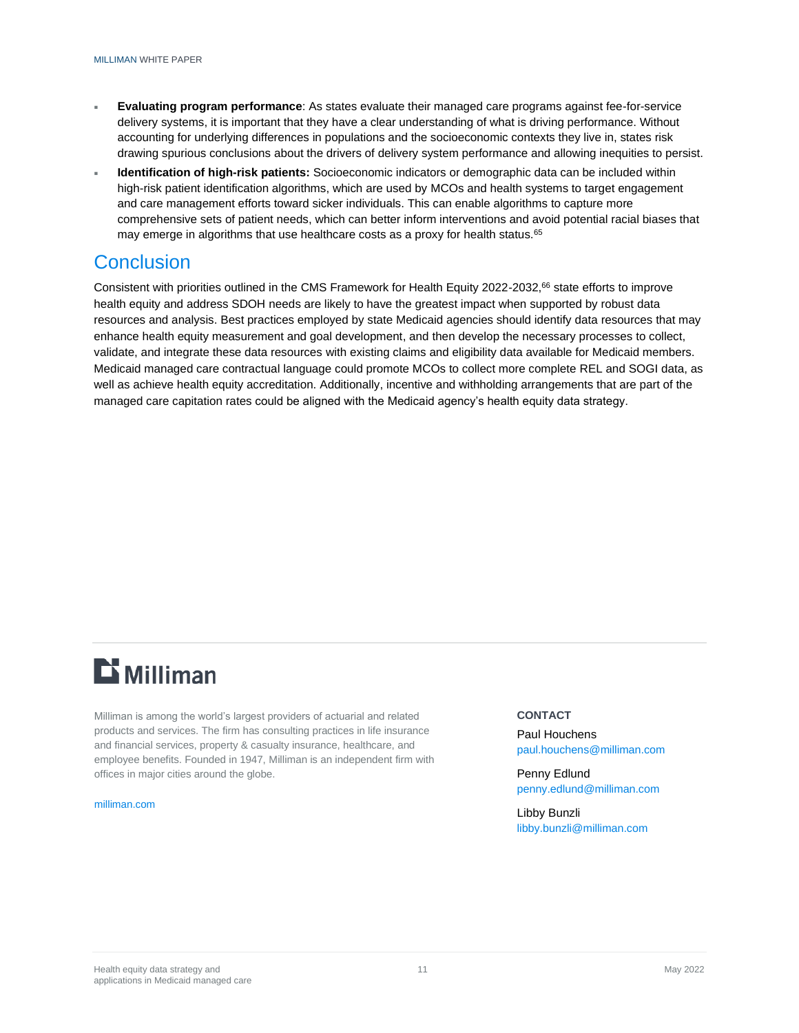- **Evaluating program performance**: As states evaluate their managed care programs against fee-for-service delivery systems, it is important that they have a clear understanding of what is driving performance. Without accounting for underlying differences in populations and the socioeconomic contexts they live in, states risk drawing spurious conclusions about the drivers of delivery system performance and allowing inequities to persist.
- **Identification of high-risk patients:** Socioeconomic indicators or demographic data can be included within high-risk patient identification algorithms, which are used by MCOs and health systems to target engagement and care management efforts toward sicker individuals. This can enable algorithms to capture more comprehensive sets of patient needs, which can better inform interventions and avoid potential racial biases that may emerge in algorithms that use healthcare costs as a proxy for health status.<sup>65</sup>

# **Conclusion**

Consistent with priorities outlined in the CMS Framework for Health Equity 2022-2032,<sup>66</sup> state efforts to improve health equity and address SDOH needs are likely to have the greatest impact when supported by robust data resources and analysis. Best practices employed by state Medicaid agencies should identify data resources that may enhance health equity measurement and goal development, and then develop the necessary processes to collect, validate, and integrate these data resources with existing claims and eligibility data available for Medicaid members. Medicaid managed care contractual language could promote MCOs to collect more complete REL and SOGI data, as well as achieve health equity accreditation. Additionally, incentive and withholding arrangements that are part of the managed care capitation rates could be aligned with the Medicaid agency's health equity data strategy.

# $E$  Milliman

Milliman is among the world's largest providers of actuarial and related products and services. The firm has consulting practices in life insurance and financial services, property & casualty insurance, healthcare, and employee benefits. Founded in 1947, Milliman is an independent firm with offices in major cities around the globe.

#### [milliman.com](http://www.milliman.com/)

### **CONTACT**

Paul Houchens [paul.houchens@milliman.com](mailto:paul.houchens@milliman.com)

Penny Edlund [penny.edlund@milliman.com](mailto:penny.edlund@milliman.com)

Libby Bunzli [libby.bunzli@milliman.com](mailto:libby.bunzli@milliman.com)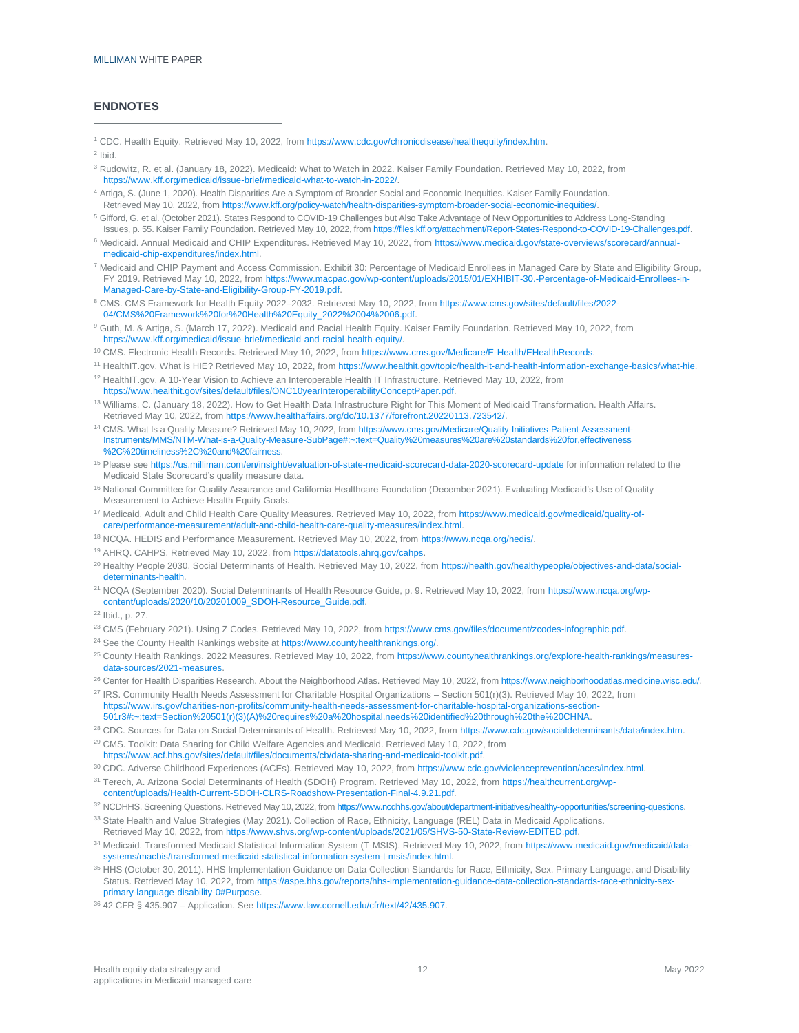### **ENDNOTES**

<sup>1</sup> CDC. Health Equity. Retrieved May 10, 2022, fro[m https://www.cdc.gov/chronicdisease/healthequity/index.htm.](https://www.cdc.gov/chronicdisease/healthequity/index.htm)

 $2$  Ibid.

- <sup>3</sup> Rudowitz, R. et al. (January 18, 2022). Medicaid: What to Watch in 2022. Kaiser Family Foundation. Retrieved May 10, 2022, from [https://www.kff.org/medicaid/issue-brief/medicaid-what-to-watch-in-2022/.](https://www.kff.org/medicaid/issue-brief/medicaid-what-to-watch-in-2022/)
- <sup>4</sup> Artiga, S. (June 1, 2020). Health Disparities Are a Symptom of Broader Social and Economic Inequities. Kaiser Family Foundation. Retrieved May 10, 2022, fro[m https://www.kff.org/policy-watch/health-disparities-symptom-broader-social-economic-inequities/.](https://www.kff.org/policy-watch/health-disparities-symptom-broader-social-economic-inequities/)
- <sup>5</sup> Gifford, G. et al. (October 2021). States Respond to COVID-19 Challenges but Also Take Advantage of New Opportunities to Address Long-Standing Issues, p. 55. Kaiser Family Foundation. Retrieved May 10, 2022, fro[m https://files.kff.org/attachment/Report-States-Respond-to-COVID-19-Challenges.pdf.](https://files.kff.org/attachment/Report-States-Respond-to-COVID-19-Challenges.pdf)
- 6 Medicaid. Annual Medicaid and CHIP Expenditures. Retrieved May 10, 2022, fro[m https://www.medicaid.gov/state-overviews/scorecard/annual](https://www.medicaid.gov/state-overviews/scorecard/annual-medicaid-chip-expenditures/index.html)[medicaid-chip-expenditures/index.html.](https://www.medicaid.gov/state-overviews/scorecard/annual-medicaid-chip-expenditures/index.html)
- <sup>7</sup> Medicaid and CHIP Payment and Access Commission. Exhibit 30: Percentage of Medicaid Enrollees in Managed Care by State and Eligibility Group, FY 2019. Retrieved May 10, 2022, fro[m https://www.macpac.gov/wp-content/uploads/2015/01/EXHIBIT-30.-Percentage-of-Medicaid-Enrollees-in-](https://www.macpac.gov/wp-content/uploads/2015/01/EXHIBIT-30.-Percentage-of-Medicaid-Enrollees-in-Managed-Care-by-State-and-Eligibility-Group-FY-2019.pdf)[Managed-Care-by-State-and-Eligibility-Group-FY-2019.pdf.](https://www.macpac.gov/wp-content/uploads/2015/01/EXHIBIT-30.-Percentage-of-Medicaid-Enrollees-in-Managed-Care-by-State-and-Eligibility-Group-FY-2019.pdf)
- <sup>8</sup> CMS. CMS Framework for Health Equity 2022–2032. Retrieved May 10, 2022, fro[m https://www.cms.gov/sites/default/files/2022-](https://www.cms.gov/sites/default/files/2022-04/CMS%20Framework%20for%20Health%20Equity_2022%2004%2006.pdf) [04/CMS%20Framework%20for%20Health%20Equity\\_2022%2004%2006.pdf.](https://www.cms.gov/sites/default/files/2022-04/CMS%20Framework%20for%20Health%20Equity_2022%2004%2006.pdf)
- <sup>9</sup> Guth, M. & Artiga, S. (March 17, 2022). Medicaid and Racial Health Equity. Kaiser Family Foundation. Retrieved May 10, 2022, from [https://www.kff.org/medicaid/issue-brief/medicaid-and-racial-health-equity/.](https://www.kff.org/medicaid/issue-brief/medicaid-and-racial-health-equity/)
- <sup>10</sup> CMS. Electronic Health Records. Retrieved May 10, 2022, fro[m https://www.cms.gov/Medicare/E-Health/EHealthRecords.](https://www.cms.gov/Medicare/E-Health/EHealthRecords)
- <sup>11</sup> HealthIT.gov. What is HIE? Retrieved May 10, 2022, fro[m https://www.healthit.gov/topic/health-it-and-health-information-exchange-basics/what-hie.](https://www.healthit.gov/topic/health-it-and-health-information-exchange-basics/what-hie)
- <sup>12</sup> HealthIT.gov. A 10-Year Vision to Achieve an Interoperable Health IT Infrastructure. Retrieved May 10, 2022, from [https://www.healthit.gov/sites/default/files/ONC10yearInteroperabilityConceptPaper.pdf.](https://www.healthit.gov/sites/default/files/ONC10yearInteroperabilityConceptPaper.pdf)
- <sup>13</sup> Williams, C. (January 18, 2022). How to Get Health Data Infrastructure Right for This Moment of Medicaid Transformation. Health Affairs. Retrieved May 10, 2022, fro[m https://www.healthaffairs.org/do/10.1377/forefront.20220113.723542/.](https://www.healthaffairs.org/do/10.1377/forefront.20220113.723542/)
- <sup>14</sup> CMS. What Is a Quality Measure? Retrieved May 10, 2022, from [https://www.cms.gov/Medicare/Quality-Initiatives-Patient-Assessment-](https://www.cms.gov/Medicare/Quality-Initiatives-Patient-Assessment-Instruments/MMS/NTM-What-is-a-Quality-Measure-SubPage#:~:text=Quality%20measures%20are%20standards%20for,effectiveness%2C%20timeliness%2C%20and%20fairness)Instruments/MMS/NTM-What-is-a-Quality-Measure-SubPage#:~:text=Quality%20measures%20are%20standards%20for,effectiver [%2C%20timeliness%2C%20and%20fairness.](https://www.cms.gov/Medicare/Quality-Initiatives-Patient-Assessment-Instruments/MMS/NTM-What-is-a-Quality-Measure-SubPage#:~:text=Quality%20measures%20are%20standards%20for,effectiveness%2C%20timeliness%2C%20and%20fairness)
- <sup>15</sup> Please se[e https://us.milliman.com/en/insight/evaluation-of-state-medicaid-scorecard-data-2020-scorecard-update](https://us.milliman.com/en/insight/evaluation-of-state-medicaid-scorecard-data-2020-scorecard-update) for information related to the Medicaid State Scorecard's quality measure data.
- <sup>16</sup> National Committee for Quality Assurance and California Healthcare Foundation (December 2021). Evaluating Medicaid's Use of Quality Measurement to Achieve Health Equity Goals.
- <sup>17</sup> Medicaid. Adult and Child Health Care Quality Measures. Retrieved May 10, 2022, from [https://www.medicaid.gov/medicaid/quality-of](https://www.medicaid.gov/medicaid/quality-of-care/performance-measurement/adult-and-child-health-care-quality-measures/index.html)[care/performance-measurement/adult-and-child-health-care-quality-measures/index.html.](https://www.medicaid.gov/medicaid/quality-of-care/performance-measurement/adult-and-child-health-care-quality-measures/index.html)
- <sup>18</sup> NCQA. HEDIS and Performance Measurement. Retrieved May 10, 2022, from [https://www.ncqa.org/hedis/.](https://www.ncqa.org/hedis/)
- <sup>19</sup> AHRQ. CAHPS. Retrieved May 10, 2022, fro[m https://datatools.ahrq.gov/cahps.](https://datatools.ahrq.gov/cahps)
- <sup>20</sup> Healthy People 2030. Social Determinants of Health. Retrieved May 10, 2022, fro[m https://health.gov/healthypeople/objectives-and-data/social](https://health.gov/healthypeople/objectives-and-data/social-determinants-health)[determinants-health.](https://health.gov/healthypeople/objectives-and-data/social-determinants-health)
- <sup>21</sup> NCQA (September 2020). Social Determinants of Health Resource Guide, p. 9. Retrieved May 10, 2022, from [https://www.ncqa.org/wp](https://www.ncqa.org/wp-content/uploads/2020/10/20201009_SDOH-Resource_Guide.pdf)[content/uploads/2020/10/20201009\\_SDOH-Resource\\_Guide.pdf.](https://www.ncqa.org/wp-content/uploads/2020/10/20201009_SDOH-Resource_Guide.pdf)
- <sup>22</sup> Ibid., p. 27.
- <sup>23</sup> CMS (February 2021). Using Z Codes. Retrieved May 10, 2022, from [https://www.cms.gov/files/document/zcodes-infographic.pdf.](https://www.cms.gov/files/document/zcodes-infographic.pdf)
- <sup>24</sup> See the County Health Rankings website at [https://www.countyhealthrankings.org/.](https://www.countyhealthrankings.org/)
- <sup>25</sup> County Health Rankings. 2022 Measures. Retrieved May 10, 2022, fro[m https://www.countyhealthrankings.org/explore-health-rankings/measures](https://www.countyhealthrankings.org/explore-health-rankings/measures-data-sources/2021-measures)[data-sources/2021-measures.](https://www.countyhealthrankings.org/explore-health-rankings/measures-data-sources/2021-measures)
- <sup>26</sup> Center for Health Disparities Research. About the Neighborhood Atlas. Retrieved May 10, 2022, fro[m https://www.neighborhoodatlas.medicine.wisc.edu/.](https://www.neighborhoodatlas.medicine.wisc.edu/)  $27$  IRS. Community Health Needs Assessment for Charitable Hospital Organizations – Section 501(r)(3). Retrieved May 10, 2022, from
- [https://www.irs.gov/charities-non-profits/community-health-needs-assessment-for-charitable-hospital-organizations-section-](https://www.irs.gov/charities-non-profits/community-health-needs-assessment-for-charitable-hospital-organizations-section-501r3#:~:text=Section%20501(r)(3)(A)%20requires%20a%20hospital,needs%20identified%20through%20the%20CHNA)[501r3#:~:text=Section%20501\(r\)\(3\)\(A\)%20requires%20a%20hospital,needs%20identified%20through%20the%20CHNA.](https://www.irs.gov/charities-non-profits/community-health-needs-assessment-for-charitable-hospital-organizations-section-501r3#:~:text=Section%20501(r)(3)(A)%20requires%20a%20hospital,needs%20identified%20through%20the%20CHNA)
- 
- <sup>28</sup> CDC. Sources for Data on Social Determinants of Health. Retrieved May 10, 2022, from [https://www.cdc.gov/socialdeterminants/data/index.htm.](https://www.cdc.gov/socialdeterminants/data/index.htm) <sup>29</sup> CMS. Toolkit: Data Sharing for Child Welfare Agencies and Medicaid. Retrieved May 10, 2022, from [https://www.acf.hhs.gov/sites/default/files/documents/cb/data-sharing-and-medicaid-toolkit.pdf.](https://www.acf.hhs.gov/sites/default/files/documents/cb/data-sharing-and-medicaid-toolkit.pdf)
- 30 CDC. Adverse Childhood Experiences (ACEs). Retrieved May 10, 2022, from [https://www.cdc.gov/violenceprevention/aces/index.html.](https://www.cdc.gov/violenceprevention/aces/index.html)
- <sup>31</sup> Terech, A. Arizona Social Determinants of Health (SDOH) Program. Retrieved May 10, 2022, from [https://healthcurrent.org/wp](https://healthcurrent.org/wp-content/uploads/Health-Current-SDOH-CLRS-Roadshow-Presentation-Final-4.9.21.pdf)[content/uploads/Health-Current-SDOH-CLRS-Roadshow-Presentation-Final-4.9.21.pdf.](https://healthcurrent.org/wp-content/uploads/Health-Current-SDOH-CLRS-Roadshow-Presentation-Final-4.9.21.pdf)
- 32 NCDHHS. Screening Questions. Retrieved May 10, 2022, fro[m https://www.ncdhhs.gov/about/department-initiatives/healthy-opportunities/screening-questions.](https://www.ncdhhs.gov/about/department-initiatives/healthy-opportunities/screening-questions)
- 33 State Health and Value Strategies (May 2021). Collection of Race, Ethnicity, Language (REL) Data in Medicaid Applications. Retrieved May 10, 2022, fro[m https://www.shvs.org/wp-content/uploads/2021/05/SHVS-50-State-Review-EDITED.pdf.](https://www.shvs.org/wp-content/uploads/2021/05/SHVS-50-State-Review-EDITED.pdf)
- 34 Medicaid. Transformed Medicaid Statistical Information System (T-MSIS). Retrieved May 10, 2022, from [https://www.medicaid.gov/medicaid/data](https://www.medicaid.gov/medicaid/data-systems/macbis/transformed-medicaid-statistical-information-system-t-msis/index.html)[systems/macbis/transformed-medicaid-statistical-information-system-t-msis/index.html.](https://www.medicaid.gov/medicaid/data-systems/macbis/transformed-medicaid-statistical-information-system-t-msis/index.html)
- 35 HHS (October 30, 2011). HHS Implementation Guidance on Data Collection Standards for Race, Ethnicity, Sex, Primary Language, and Disability Status. Retrieved May 10, 2022, fro[m https://aspe.hhs.gov/reports/hhs-implementation-guidance-data-collection-standards-race-ethnicity-sex](https://aspe.hhs.gov/reports/hhs-implementation-guidance-data-collection-standards-race-ethnicity-sex-primary-language-disability-0#Purpose)[primary-language-disability-0#Purpose.](https://aspe.hhs.gov/reports/hhs-implementation-guidance-data-collection-standards-race-ethnicity-sex-primary-language-disability-0#Purpose)
- <sup>36</sup> 42 CFR § 435.907 Application. Se[e https://www.law.cornell.edu/cfr/text/42/435.907.](https://www.law.cornell.edu/cfr/text/42/435.907)